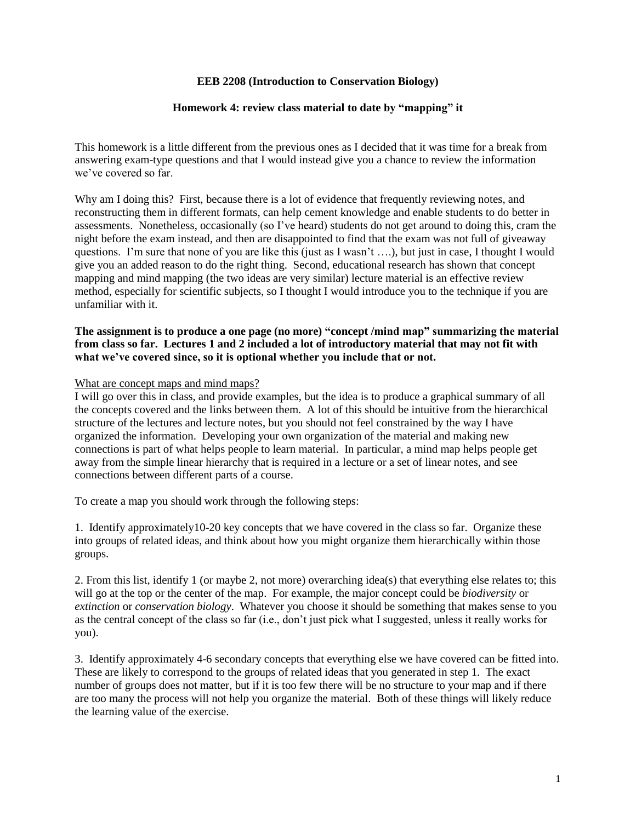## **EEB 2208 (Introduction to Conservation Biology)**

## **Homework 4: review class material to date by "mapping" it**

This homework is a little different from the previous ones as I decided that it was time for a break from answering exam-type questions and that I would instead give you a chance to review the information we've covered so far.

Why am I doing this? First, because there is a lot of evidence that frequently reviewing notes, and reconstructing them in different formats, can help cement knowledge and enable students to do better in assessments. Nonetheless, occasionally (so I've heard) students do not get around to doing this, cram the night before the exam instead, and then are disappointed to find that the exam was not full of giveaway questions. I'm sure that none of you are like this (just as I wasn't ….), but just in case, I thought I would give you an added reason to do the right thing. Second, educational research has shown that concept mapping and mind mapping (the two ideas are very similar) lecture material is an effective review method, especially for scientific subjects, so I thought I would introduce you to the technique if you are unfamiliar with it.

## **The assignment is to produce a one page (no more) "concept /mind map" summarizing the material from class so far. Lectures 1 and 2 included a lot of introductory material that may not fit with what we've covered since, so it is optional whether you include that or not.**

## What are concept maps and mind maps?

I will go over this in class, and provide examples, but the idea is to produce a graphical summary of all the concepts covered and the links between them. A lot of this should be intuitive from the hierarchical structure of the lectures and lecture notes, but you should not feel constrained by the way I have organized the information. Developing your own organization of the material and making new connections is part of what helps people to learn material. In particular, a mind map helps people get away from the simple linear hierarchy that is required in a lecture or a set of linear notes, and see connections between different parts of a course.

To create a map you should work through the following steps:

1. Identify approximately10-20 key concepts that we have covered in the class so far. Organize these into groups of related ideas, and think about how you might organize them hierarchically within those groups.

2. From this list, identify 1 (or maybe 2, not more) overarching idea(s) that everything else relates to; this will go at the top or the center of the map. For example, the major concept could be *biodiversity* or *extinction* or *conservation biology*. Whatever you choose it should be something that makes sense to you as the central concept of the class so far (i.e., don't just pick what I suggested, unless it really works for you).

3. Identify approximately 4-6 secondary concepts that everything else we have covered can be fitted into. These are likely to correspond to the groups of related ideas that you generated in step 1. The exact number of groups does not matter, but if it is too few there will be no structure to your map and if there are too many the process will not help you organize the material. Both of these things will likely reduce the learning value of the exercise.